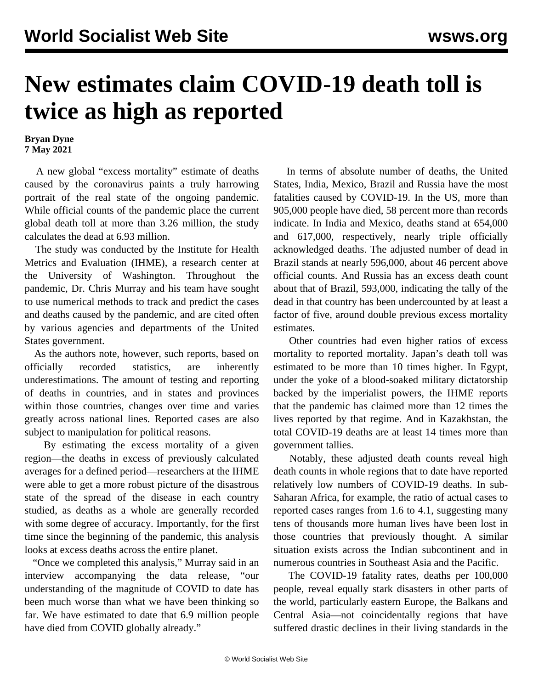## **New estimates claim COVID-19 death toll is twice as high as reported**

**Bryan Dyne 7 May 2021**

 A new global "excess mortality" estimate of deaths caused by the coronavirus paints a truly harrowing portrait of the real state of the ongoing pandemic. While official counts of the pandemic place the current global death toll at more than 3.26 million, the study calculates the dead at 6.93 million.

 The study was conducted by the Institute for Health Metrics and Evaluation (IHME), a research center at the University of Washington. Throughout the pandemic, Dr. Chris Murray and his team have sought to use numerical methods to track and predict the cases and deaths caused by the pandemic, and are cited often by various agencies and departments of the United States government.

 As the authors note, however, such reports, based on officially recorded statistics, are inherently underestimations. The amount of testing and reporting of deaths in countries, and in states and provinces within those countries, changes over time and varies greatly across national lines. Reported cases are also subject to manipulation for political reasons.

 By estimating the excess mortality of a given region—the deaths in excess of previously calculated averages for a defined period—researchers at the IHME were able to get a more robust picture of the disastrous state of the spread of the disease in each country studied, as deaths as a whole are generally recorded with some degree of accuracy. Importantly, for the first time since the beginning of the pandemic, this analysis looks at excess deaths across the entire planet.

 "Once we completed this analysis," Murray said in an interview accompanying the data release, "our understanding of the magnitude of COVID to date has been much worse than what we have been thinking so far. We have estimated to date that 6.9 million people have died from COVID globally already."

 In terms of absolute number of deaths, the United States, India, Mexico, Brazil and Russia have the most fatalities caused by COVID-19. In the US, more than 905,000 people have died, 58 percent more than records indicate. In India and Mexico, deaths stand at 654,000 and 617,000, respectively, nearly triple officially acknowledged deaths. The adjusted number of dead in Brazil stands at nearly 596,000, about 46 percent above official counts. And Russia has an excess death count about that of Brazil, 593,000, indicating the tally of the dead in that country has been undercounted by at least a factor of five, around double previous [excess mortality](/en/articles/2020/12/30/ruco-d30-d30.html) [estimates](/en/articles/2020/12/30/ruco-d30-d30.html).

 Other countries had even higher ratios of excess mortality to reported mortality. Japan's death toll was estimated to be more than 10 times higher. In Egypt, under the yoke of a blood-soaked military dictatorship backed by the imperialist powers, the IHME reports that the pandemic has claimed more than 12 times the lives reported by that regime. And in Kazakhstan, the total COVID-19 deaths are at least 14 times more than government tallies.

 Notably, these adjusted death counts reveal high death counts in whole regions that to date have reported relatively low numbers of COVID-19 deaths. In sub-Saharan Africa, for example, the ratio of actual cases to reported cases ranges from 1.6 to 4.1, suggesting many tens of thousands more human lives have been lost in those countries that previously thought. A similar situation exists across the Indian subcontinent and in numerous countries in Southeast Asia and the Pacific.

 The COVID-19 fatality rates, deaths per 100,000 people, reveal equally stark disasters in other parts of the world, particularly eastern Europe, the Balkans and Central Asia—not coincidentally regions that have suffered drastic declines in their living standards in the